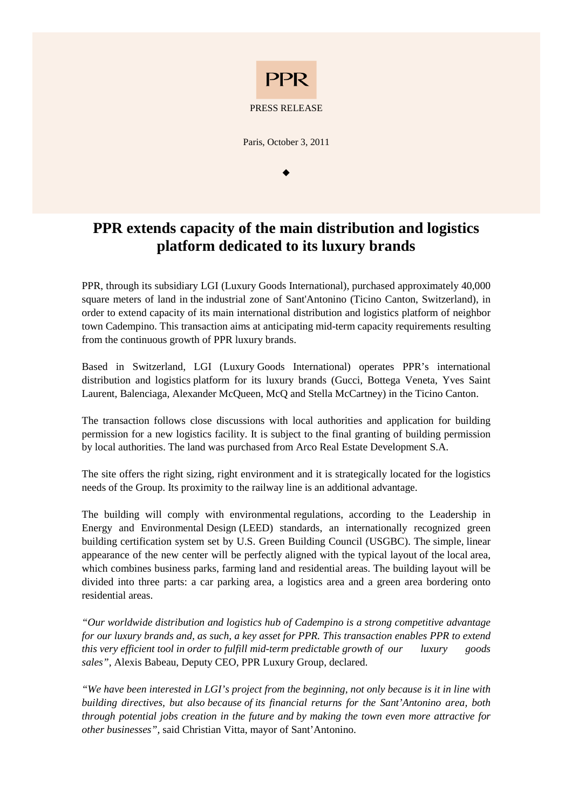

Paris, October 3, 2011

 $\bullet$ 

## **PPR extends capacity of the main distribution and logistics platform dedicated to its luxury brands**

PPR, through its subsidiary LGI (Luxury Goods International), purchased approximately 40,000 square meters of land in the industrial zone of Sant'Antonino (Ticino Canton, Switzerland), in order to extend capacity of its main international distribution and logistics platform of neighbor town Cadempino. This transaction aims at anticipating mid-term capacity requirements resulting from the continuous growth of PPR luxury brands.

Based in Switzerland, LGI (Luxury Goods International) operates PPR's international distribution and logistics platform for its luxury brands (Gucci, Bottega Veneta, Yves Saint Laurent, Balenciaga, Alexander McQueen, McQ and Stella McCartney) in the Ticino Canton.

The transaction follows close discussions with local authorities and application for building permission for a new logistics facility. It is subject to the final granting of building permission by local authorities. The land was purchased from Arco Real Estate Development S.A.

The site offers the right sizing, right environment and it is strategically located for the logistics needs of the Group. Its proximity to the railway line is an additional advantage.

The building will comply with environmental regulations, according to the Leadership in Energy and Environmental Design (LEED) standards, an internationally recognized green building certification system set by U.S. Green Building Council (USGBC). The simple, linear appearance of the new center will be perfectly aligned with the typical layout of the local area, which combines business parks, farming land and residential areas. The building layout will be divided into three parts: a car parking area, a logistics area and a green area bordering onto residential areas.

*"Our worldwide distribution and logistics hub of Cadempino is a strong competitive advantage for our luxury brands and, as such, a key asset for PPR. This transaction enables PPR to extend this very efficient tool in order to fulfill mid-term predictable growth of our luxury goods sales",* Alexis Babeau, Deputy CEO, PPR Luxury Group, declared.

*"We have been interested in LGI's project from the beginning, not only because is it in line with building directives, but also because of its financial returns for the Sant'Antonino area, both through potential jobs creation in the future and by making the town even more attractive for other businesses",* said Christian Vitta, mayor of Sant'Antonino.